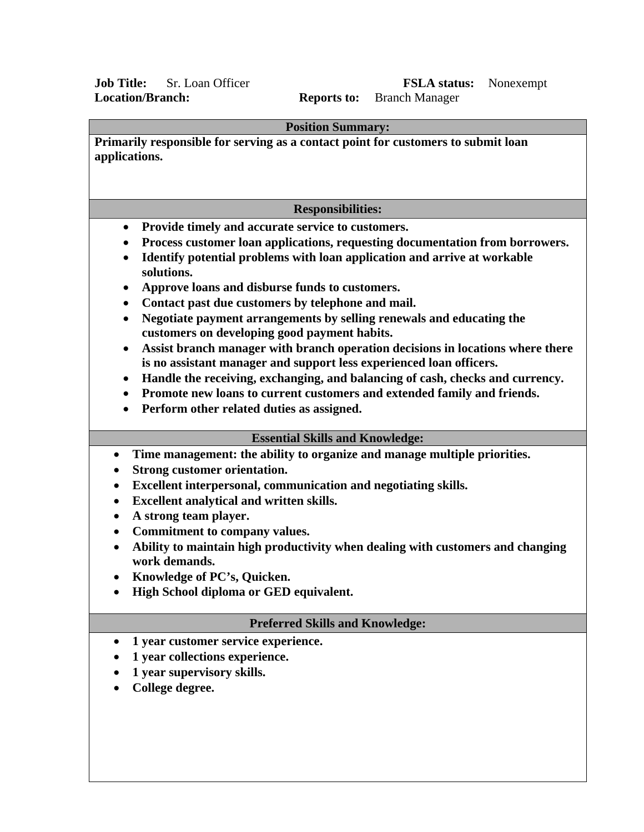## **Job Title:** Sr. Loan Officer **FSLA status:** Nonexempt **Location/Branch: Reports to:** Branch Manager **Location/Branch: Reports to:** Branch Manager

| <b>Position Summary:</b>                                                                                                                                           |  |  |  |  |  |  |
|--------------------------------------------------------------------------------------------------------------------------------------------------------------------|--|--|--|--|--|--|
| Primarily responsible for serving as a contact point for customers to submit loan<br>applications.                                                                 |  |  |  |  |  |  |
|                                                                                                                                                                    |  |  |  |  |  |  |
| <b>Responsibilities:</b>                                                                                                                                           |  |  |  |  |  |  |
| Provide timely and accurate service to customers.<br>$\bullet$                                                                                                     |  |  |  |  |  |  |
| Process customer loan applications, requesting documentation from borrowers.<br>٠                                                                                  |  |  |  |  |  |  |
| Identify potential problems with loan application and arrive at workable<br>$\bullet$<br>solutions.                                                                |  |  |  |  |  |  |
| Approve loans and disburse funds to customers.<br>$\bullet$                                                                                                        |  |  |  |  |  |  |
| Contact past due customers by telephone and mail.<br>$\bullet$                                                                                                     |  |  |  |  |  |  |
| Negotiate payment arrangements by selling renewals and educating the<br>$\bullet$<br>customers on developing good payment habits.                                  |  |  |  |  |  |  |
| Assist branch manager with branch operation decisions in locations where there<br>$\bullet$<br>is no assistant manager and support less experienced loan officers. |  |  |  |  |  |  |
| Handle the receiving, exchanging, and balancing of cash, checks and currency.<br>$\bullet$                                                                         |  |  |  |  |  |  |
| Promote new loans to current customers and extended family and friends.<br>$\bullet$                                                                               |  |  |  |  |  |  |
| Perform other related duties as assigned.                                                                                                                          |  |  |  |  |  |  |
| <b>Essential Skills and Knowledge:</b>                                                                                                                             |  |  |  |  |  |  |
| Time management: the ability to organize and manage multiple priorities.<br>$\bullet$                                                                              |  |  |  |  |  |  |
| <b>Strong customer orientation.</b>                                                                                                                                |  |  |  |  |  |  |
| Excellent interpersonal, communication and negotiating skills.                                                                                                     |  |  |  |  |  |  |
| Excellent analytical and written skills.<br>$\bullet$                                                                                                              |  |  |  |  |  |  |
| A strong team player.<br>$\bullet$                                                                                                                                 |  |  |  |  |  |  |
| Commitment to company values.<br>$\bullet$                                                                                                                         |  |  |  |  |  |  |
| Ability to maintain high productivity when dealing with customers and changing<br>$\bullet$<br>work demands.                                                       |  |  |  |  |  |  |
| Knowledge of PC's, Quicken.                                                                                                                                        |  |  |  |  |  |  |
| High School diploma or GED equivalent.                                                                                                                             |  |  |  |  |  |  |
| <b>Preferred Skills and Knowledge:</b>                                                                                                                             |  |  |  |  |  |  |
| 1 year customer service experience.                                                                                                                                |  |  |  |  |  |  |
| 1 year collections experience.                                                                                                                                     |  |  |  |  |  |  |
| 1 year supervisory skills.                                                                                                                                         |  |  |  |  |  |  |
| College degree.                                                                                                                                                    |  |  |  |  |  |  |
|                                                                                                                                                                    |  |  |  |  |  |  |
|                                                                                                                                                                    |  |  |  |  |  |  |
|                                                                                                                                                                    |  |  |  |  |  |  |
|                                                                                                                                                                    |  |  |  |  |  |  |